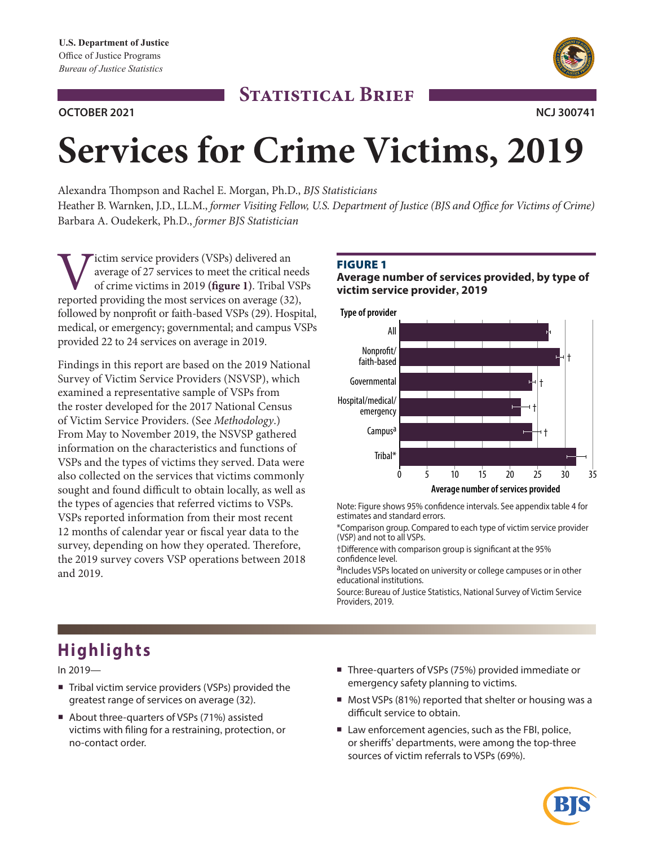# **STATISTICAL BRIEF**





# **Services for Crime Victims, 2019**

Alexandra Thompson and Rachel E. Morgan, Ph.D., *BJS Statisticians* 

Heather B. Warnken, J.D., LL.M., *former Visiting Fellow, U.S. Department of Justice (BJS and Office for Victims of Crime)* Barbara A. Oudekerk, Ph.D., *former BJS Statistician* 

Victim service providers (VSPs) delivered an average of 27 services to meet the critical ne of crime victims in 2019 (figure 1). Tribal V reported providing the most services on average (32) average of 27 services to meet the critical needs of crime victims in 2019 **(fgure 1)**. Tribal VSPs reported providing the most services on average (32), followed by nonproft or faith-based VSPs (29). Hospital, medical, or emergency; governmental; and campus VSPs provided 22 to 24 services on average in 2019.

Findings in this report are based on the 2019 National Survey of Victim Service Providers (NSVSP), which examined a representative sample of VSPs from the roster developed for the 2017 National Census of Victim Service Providers. (See *Methodology*.) From May to November 2019, the NSVSP gathered information on the characteristics and functions of VSPs and the types of victims they served. Data were also collected on the services that victims commonly sought and found difficult to obtain locally, as well as the types of agencies that referred victims to VSPs. VSPs reported information from their most recent 12 months of calendar year or fscal year data to the survey, depending on how they operated. Therefore, the 2019 survey covers VSP operations between 2018 and 2019.

# **FIGURE 1**

# **Average number of services provided, by type of victim service provider, 2019**



Note: Figure shows 95% confdence intervals. See appendix table 4 for estimates and standard errors.

\*Comparison group. Compared to each type of victim service provider (VSP) and not to all VSPs.

†Diference with comparison group is signifcant at the 95% confdence level.

aIncludes VSPs located on university or college campuses or in other educational institutions.

Source: Bureau of Justice Statistics, National Survey of Victim Service Providers, 2019.

# **Highlights**

In 2019—

- Tribal victim service providers (VSPs) provided the greatest range of services on average (32).
- About three-quarters of VSPs (71%) assisted victims with fling for a restraining, protection, or no-contact order.
- Three-quarters of VSPs (75%) provided immediate or emergency safety planning to victims.
- Most VSPs (81%) reported that shelter or housing was a difficult service to obtain.
- Law enforcement agencies, such as the FBI, police, or sherifs' departments, were among the top-three sources of victim referrals to VSPs (69%).

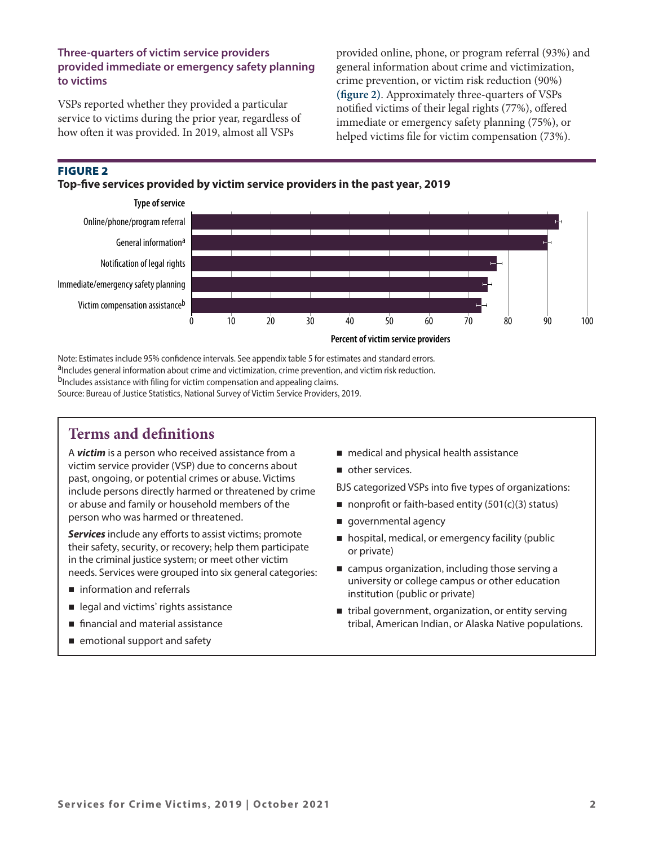# **Three-quarters of victim service providers provided immediate or emergency safety planning to victims**

VSPs reported whether they provided a particular service to victims during the prior year, regardless of how ofen it was provided. In 2019, almost all VSPs

provided online, phone, or program referral (93%) and general information about crime and victimization, crime prevention, or victim risk reduction (90%) **(fgure 2)**. Approximately three-quarters of VSPs notifed victims of their legal rights (77%), ofered immediate or emergency safety planning (75%), or helped victims fle for victim compensation (73%).

# Figure 2





Note: Estimates include 95% confdence intervals. See appendix table 5 for estimates and standard errors. aIncludes general information about crime and victimization, crime prevention, and victim risk reduction. b<sub>Includes</sub> assistance with filing for victim compensation and appealing claims. Source: Bureau of Justice Statistics, National Survey of Victim Service Providers, 2019.

# **Terms and defnitions**

A *victim* is a person who received assistance from a **medical and physical health assistance** victim service provider (VSP) due to concerns about  $\Box$  other services.<br>past, ongoing, or potential crimes or abuse. Victims past, ongoing, or potential crimes or abuse. Victims BJS categorized VSPs into five types of organizations:<br>include persons directly harmed or threatened by crime or abuse and family or household members of the nonproft or faith-based entity (501(c)(3) status) person who was harmed or threatened.  $\Box$  governmental agency

**Services** include any efforts to assist victims; promote<br>their safety, security, or recovery; help them participate<br>in the criminal justice system; or meet other victim<br>needs. Services were grouned into six general catego

- 
- 
- 
- emotional support and safety
- 
- 

- 
- 
- 
- needs. Services were grouped into six general categories:<br>university or college campus or other education<br>in this services of other education institution (public or private)
- legal and victims' rights assistance **the entity serving** tribal government, organization, or entity serving **financial and material assistance tribal, American Indian, or Alaska Native populations.**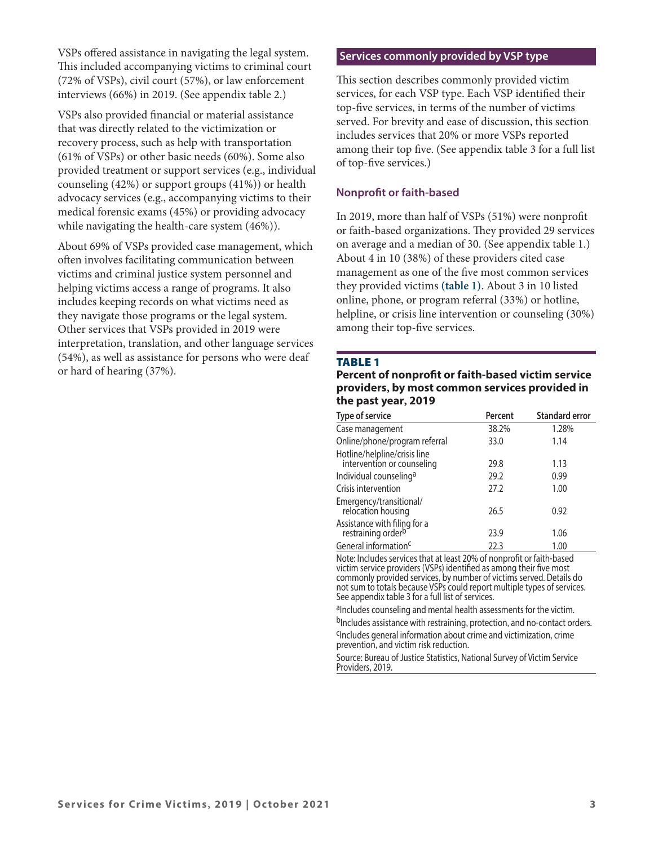VSPs offered assistance in navigating the legal system. This included accompanying victims to criminal court (72% of VSPs), civil court (57%), or law enforcement interviews (66%) in 2019. (See appendix table 2.)

VSPs also provided fnancial or material assistance that was directly related to the victimization or recovery process, such as help with transportation (61% of VSPs) or other basic needs (60%). Some also provided treatment or support services (e.g., individual counseling (42%) or support groups (41%)) or health advocacy services (e.g., accompanying victims to their medical forensic exams (45%) or providing advocacy while navigating the health-care system (46%)).

About 69% of VSPs provided case management, which ofen involves facilitating communication between victims and criminal justice system personnel and helping victims access a range of programs. It also includes keeping records on what victims need as they navigate those programs or the legal system. Other services that VSPs provided in 2019 were interpretation, translation, and other language services (54%), as well as assistance for persons who were deaf or hard of hearing (37%).

## **Services commonly provided by VSP type**

This section describes commonly provided victim services, for each VSP type. Each VSP identifed their top-fve services, in terms of the number of victims served. For brevity and ease of discussion, this section includes services that 20% or more VSPs reported among their top fve. (See appendix table 3 for a full list of top-fve services.)

# **Nonproft or faith-based**

In 2019, more than half of VSPs (51%) were nonproft or faith-based organizations. They provided 29 services on average and a median of 30. (See appendix table 1.) About 4 in 10 (38%) of these providers cited case management as one of the fve most common services they provided victims **(table 1)**. About 3 in 10 listed online, phone, or program referral (33%) or hotline, helpline, or crisis line intervention or counseling (30%) among their top-fve services.

## **TABLE 1**

#### **Percent of nonproft or faith-based victim service providers, by most common services provided in the past year, 2019**

| Type of service                                                | Percent | <b>Standard error</b> |
|----------------------------------------------------------------|---------|-----------------------|
| Case management                                                | 38.2%   | 1.28%                 |
| Online/phone/program referral                                  | 33.0    | 1.14                  |
| Hotline/helpline/crisis line<br>intervention or counseling     | 29.8    | 1.13                  |
| Individual counseling <sup>a</sup>                             | 29.2    | 0.99                  |
| Crisis intervention                                            | 27.2    | 1.00                  |
| Emergency/transitional/<br>relocation housing                  | 26.5    | 0.92                  |
| Assistance with filing for a<br>restraining order <sup>b</sup> | 23.9    | 1.06                  |
| General information <sup>c</sup>                               | 22.3    | 1.00                  |

Note: Includes services that at least 20% of nonproft or faith-based victim service providers (VSPs) identified as among their five most commonly provided services, by number of victims served. Details do not sum to totals because VSPs could report multiple types of services. See appendix table 3 for a full list of services.

aIncludes counseling and mental health assessments for the victim.

bIncludes assistance with restraining, protection, and no-contact orders.<br>CIncludes general information about crime and victimization, crime

prevention, and victim risk reduction.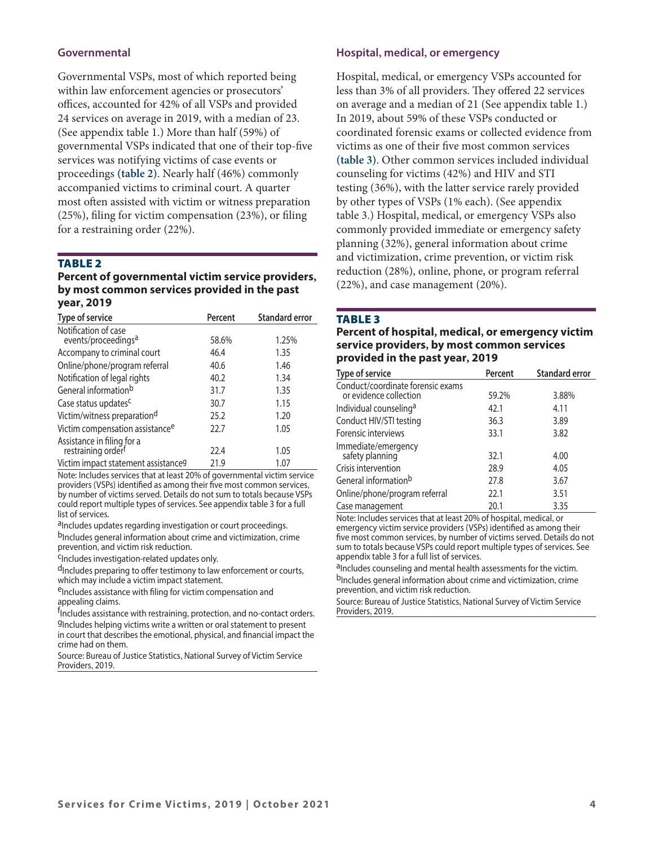# **Governmental**

Governmental VSPs, most of which reported being within law enforcement agencies or prosecutors' offices, accounted for 42% of all VSPs and provided 24 services on average in 2019, with a median of 23. (See appendix table 1.) More than half (59%) of governmental VSPs indicated that one of their top-fve services was notifying victims of case events or proceedings **(table 2)**. Nearly half (46%) commonly accompanied victims to criminal court. A quarter most often assisted with victim or witness preparation (25%), fling for victim compensation (23%), or fling for a restraining order (22%).

# **TABLE 2**

#### **Percent of governmental victim service providers, by most common services provided in the past year, 2019**

| Type of service                                         | Percent | <b>Standard error</b> |
|---------------------------------------------------------|---------|-----------------------|
| Notification of case<br>events/proceedings <sup>a</sup> | 58.6%   | 1.25%                 |
| Accompany to criminal court                             | 46.4    | 1.35                  |
| Online/phone/program referral                           | 40.6    | 1.46                  |
| Notification of legal rights                            | 40.2    | 1.34                  |
| General information <sup>b</sup>                        | 31.7    | 1.35                  |
| Case status updates <sup>c</sup>                        | 30.7    | 1.15                  |
| Victim/witness preparationd                             | 25.2    | 1.20                  |
| Victim compensation assistance <sup>e</sup>             | 22.7    | 1.05                  |
| Assistance in filing for a<br>restraining orderf        | 22.4    | 1.05                  |
| Victim impact statement assistance <sup>g</sup>         | 21.9    | 1.07                  |

Note: Includes services that at least 20% of governmental victim service providers (VSPs) identifed as among their fve most common services, by number of victims served. Details do not sum to totals because VSPs could report multiple types of services. See appendix table 3 for a full list of services.

aIncludes updates regarding investigation or court proceedings.

b<sub>Includes</sub> general information about crime and victimization, crime prevention, and victim risk reduction.

<sup>C</sup>Includes investigation-related updates only.

d<sub>Includes</sub> preparing to offer testimony to law enforcement or courts, which may include a victim impact statement.

eIncludes assistance with filing for victim compensation and appealing claims.

f<sub>lncludes</sub> assistance with restraining, protection, and no-contact orders. gIncludes helping victims write a written or oral statement to present in court that describes the emotional, physical, and fnancial impact the crime had on them.

Source: Bureau of Justice Statistics, National Survey of Victim Service Providers, 2019.

## **Hospital, medical, or emergency**

Hospital, medical, or emergency VSPs accounted for less than 3% of all providers. They offered 22 services on average and a median of 21 (See appendix table 1.) In 2019, about 59% of these VSPs conducted or coordinated forensic exams or collected evidence from victims as one of their fve most common services **(table 3)**. Other common services included individual counseling for victims (42%) and HIV and STI testing (36%), with the latter service rarely provided by other types of VSPs (1% each). (See appendix table 3.) Hospital, medical, or emergency VSPs also commonly provided immediate or emergency safety planning (32%), general information about crime and victimization, crime prevention, or victim risk reduction (28%), online, phone, or program referral (22%), and case management (20%).

#### **TABLE 3**

**Percent of hospital, medical, or emergency victim service providers, by most common services provided in the past year, 2019** 

| Type of service                                             | Percent | <b>Standard error</b> |
|-------------------------------------------------------------|---------|-----------------------|
| Conduct/coordinate forensic exams<br>or evidence collection | 59.2%   | 3.88%                 |
| Individual counseling <sup>a</sup>                          | 42.1    | 4.11                  |
| Conduct HIV/STI testing                                     | 36.3    | 3.89                  |
| Forensic interviews                                         | 33.1    | 3.82                  |
| Immediate/emergency<br>safety planning                      | 32.1    | 4.00                  |
| Crisis intervention                                         | 28.9    | 4.05                  |
| General information <sup>b</sup>                            | 27.8    | 3.67                  |
| Online/phone/program referral                               | 22.1    | 3.51                  |
| Case management                                             | 20.1    | 3.35                  |

Note: Includes services that at least 20% of hospital, medical, or emergency victim service providers (VSPs) identifed as among their fve most common services, by number of victims served. Details do not sum to totals because VSPs could report multiple types of services. See appendix table 3 for a full list of services.

aIncludes counseling and mental health assessments for the victim. b<sub>Includes</sub> general information about crime and victimization, crime prevention, and victim risk reduction.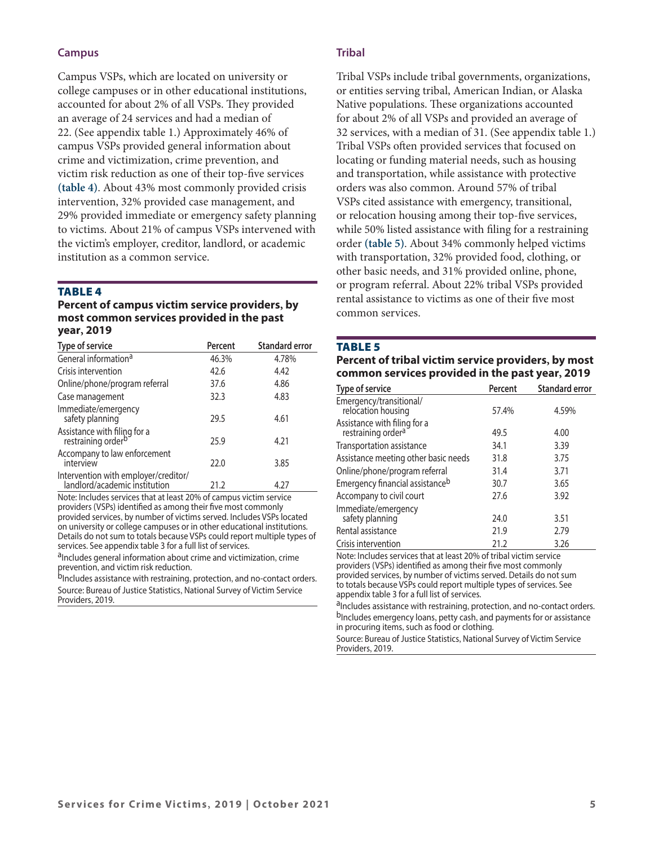# **Campus**

Campus VSPs, which are located on university or college campuses or in other educational institutions, accounted for about 2% of all VSPs. They provided an average of 24 services and had a median of 22. (See appendix table 1.) Approximately 46% of campus VSPs provided general information about crime and victimization, crime prevention, and victim risk reduction as one of their top-fve services **(table 4)**. About 43% most commonly provided crisis intervention, 32% provided case management, and 29% provided immediate or emergency safety planning to victims. About 21% of campus VSPs intervened with the victim's employer, creditor, landlord, or academic institution as a common service.

#### **TABLE 4**

#### **Percent of campus victim service providers, by most common services provided in the past year, 2019**

| Type of service                                                       | Percent | <b>Standard error</b> |
|-----------------------------------------------------------------------|---------|-----------------------|
| General information <sup>a</sup>                                      | 46.3%   | 4.78%                 |
| Crisis intervention                                                   | 42.6    | 4.42                  |
| Online/phone/program referral                                         | 37.6    | 4.86                  |
| Case management                                                       | 32.3    | 4.83                  |
| Immediate/emergency<br>safety planning                                | 29.5    | 4.61                  |
| Assistance with filing for a<br>restraining order <sup>b</sup>        | 25.9    | 4.21                  |
| Accompany to law enforcement<br>interview                             | 22.0    | 3.85                  |
| Intervention with employer/creditor/<br>landlord/academic institution | 21.2    | 4.27                  |

Note: Includes services that at least 20% of campus victim service providers (VSPs) identifed as among their fve most commonly provided services, by number of victims served. Includes VSPs located on university or college campuses or in other educational institutions. Details do not sum to totals because VSPs could report multiple types of services. See appendix table 3 for a full list of services.

aIncludes general information about crime and victimization, crime prevention, and victim risk reduction.

b<sub>Includes</sub> assistance with restraining, protection, and no-contact orders. Source: Bureau of Justice Statistics, National Survey of Victim Service Providers, 2019.

# **Tribal**

Tribal VSPs include tribal governments, organizations, or entities serving tribal, American Indian, or Alaska Native populations. These organizations accounted for about 2% of all VSPs and provided an average of 32 services, with a median of 31. (See appendix table 1.) Tribal VSPs ofen provided services that focused on locating or funding material needs, such as housing and transportation, while assistance with protective orders was also common. Around 57% of tribal VSPs cited assistance with emergency, transitional, or relocation housing among their top-fve services, while 50% listed assistance with fling for a restraining order **(table 5)**. About 34% commonly helped victims with transportation, 32% provided food, clothing, or other basic needs, and 31% provided online, phone, or program referral. About 22% tribal VSPs provided rental assistance to victims as one of their fve most common services.

#### **TABLE 5**

# **Percent of tribal victim service providers, by most common services provided in the past year, 2019**

| Type of service                                                | Percent | <b>Standard error</b> |
|----------------------------------------------------------------|---------|-----------------------|
| Emergency/transitional/<br>relocation housing                  | 57.4%   | 4.59%                 |
| Assistance with filing for a<br>restraining order <sup>a</sup> | 49.5    | 4.00                  |
| Transportation assistance                                      | 34.1    | 3.39                  |
| Assistance meeting other basic needs                           | 31.8    | 3.75                  |
| Online/phone/program referral                                  | 31.4    | 3.71                  |
| Emergency financial assistance <sup>b</sup>                    | 30.7    | 3.65                  |
| Accompany to civil court                                       | 27.6    | 3.92                  |
| Immediate/emergency<br>safety planning                         | 24.0    | 3.51                  |
| Rental assistance                                              | 21.9    | 2.79                  |
| Crisis intervention                                            | 21.2    | 3.26                  |

Note: Includes services that at least 20% of tribal victim service providers (VSPs) identifed as among their fve most commonly provided services, by number of victims served. Details do not sum to totals because VSPs could report multiple types of services. See appendix table 3 for a full list of services.

aIncludes assistance with restraining, protection, and no-contact orders. b<sub>Includes</sub> emergency loans, petty cash, and payments for or assistance in procuring items, such as food or clothing.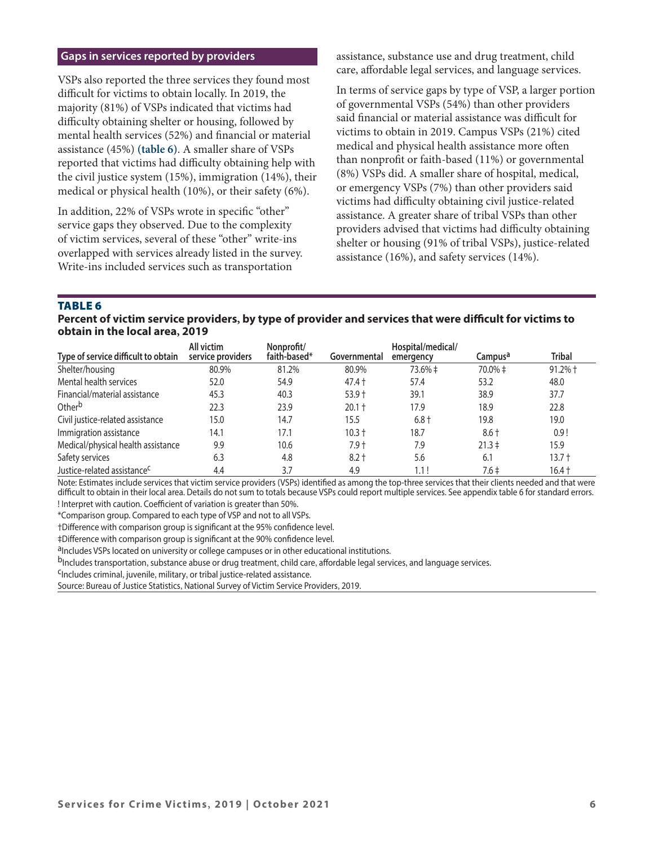## **Gaps in services reported by providers**

VSPs also reported the three services they found most difficult for victims to obtain locally. In 2019, the majority (81%) of VSPs indicated that victims had difficulty obtaining shelter or housing, followed by mental health services (52%) and fnancial or material assistance (45%) **(table 6)**. A smaller share of VSPs reported that victims had difficulty obtaining help with the civil justice system (15%), immigration (14%), their medical or physical health (10%), or their safety (6%).

In addition, 22% of VSPs wrote in specifc "other" service gaps they observed. Due to the complexity of victim services, several of these "other" write-ins overlapped with services already listed in the survey. Write-ins included services such as transportation

assistance, substance use and drug treatment, child care, afordable legal services, and language services.

In terms of service gaps by type of VSP, a larger portion of governmental VSPs (54%) than other providers said financial or material assistance was difficult for victims to obtain in 2019. Campus VSPs (21%) cited medical and physical health assistance more ofen than nonproft or faith-based (11%) or governmental (8%) VSPs did. A smaller share of hospital, medical, or emergency VSPs (7%) than other providers said victims had difculty obtaining civil justice-related assistance. A greater share of tribal VSPs than other providers advised that victims had difficulty obtaining shelter or housing (91% of tribal VSPs), justice-related assistance (16%), and safety services (14%).

**TABLE 6** 

**Percent of victim service providers, by type of provider and services that were difcult for victims to obtain in the local area, 2019** 

| Type of service difficult to obtain     | All victim<br>service providers | Nonprofit/<br>faith-based* | Governmental | Hospital/medical/<br>emergency | Campus <sup>a</sup> | <b>Tribal</b> |
|-----------------------------------------|---------------------------------|----------------------------|--------------|--------------------------------|---------------------|---------------|
| Shelter/housing                         | 80.9%                           | 81.2%                      | 80.9%        | 73.6% ‡                        | 70.0% ‡             | $91.2%$ †     |
| Mental health services                  | 52.0                            | 54.9                       | $47.4 +$     | 57.4                           | 53.2                | 48.0          |
| Financial/material assistance           | 45.3                            | 40.3                       | $53.9 +$     | 39.1                           | 38.9                | 37.7          |
| Other <sup>b</sup>                      | 22.3                            | 23.9                       | $20.1 +$     | 17.9                           | 18.9                | 22.8          |
| Civil justice-related assistance        | 15.0                            | 14.7                       | 15.5         | $6.8 +$                        | 19.8                | 19.0          |
| Immigration assistance                  | 14.1                            | 17.1                       | $10.3 +$     | 18.7                           | $8.6 +$             | 0.9!          |
| Medical/physical health assistance      | 9.9                             | 10.6                       | $7.9 +$      | 7.9                            | $21.3 \pm$          | 15.9          |
| Safety services                         | 6.3                             | 4.8                        | $8.2 +$      | 5.6                            | 6.1                 | $13.7 +$      |
| Justice-related assistance <sup>c</sup> | 4.4                             | 3.7                        | 4.9          | 1.1!                           | $7.6 \pm$           | $16.4 +$      |

Note: Estimates include services that victim service providers (VSPs) identifed as among the top-three services that their clients needed and that were difcult to obtain in their local area. Details do not sum to totals because VSPs could report multiple services. See appendix table 6 for standard errors. ! Interpret with caution. Coefficient of variation is greater than 50%.

\*Comparison group. Compared to each type of VSP and not to all VSPs.

†Diference with comparison group is signifcant at the 95% confdence level.

‡Difference with comparison group is significant at the 90% confidence level.<br><sup>a</sup>Includes VSPs located on university or college campuses or in other educational institutions.

bIncludes transportation, substance abuse or drug treatment, child care, affordable legal services, and language services.<br><sup>C</sup>Includes criminal, juvenile, military, or tribal justice-related assistance.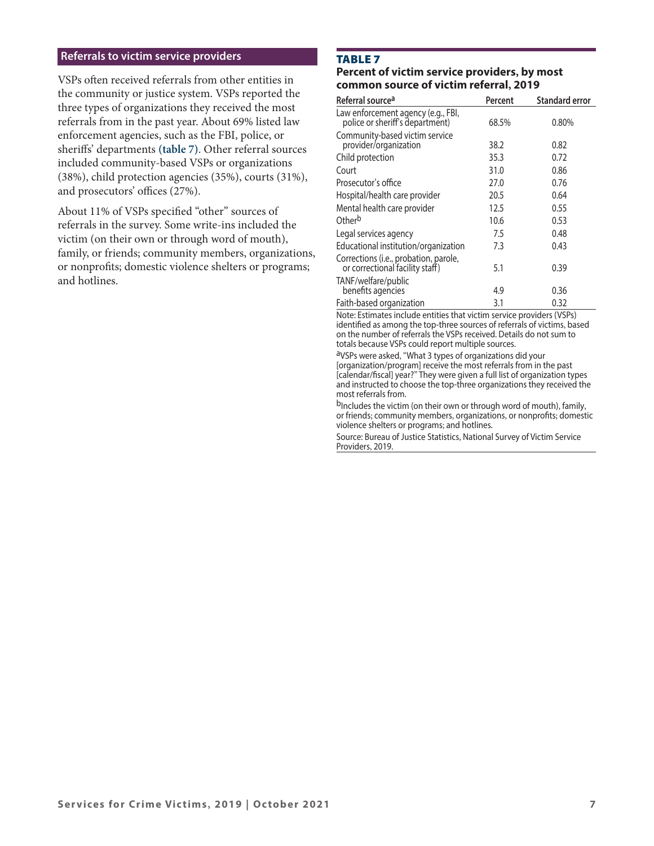## **Referrals to victim service providers**

VSPs ofen received referrals from other entities in the community or justice system. VSPs reported the three types of organizations they received the most referrals from in the past year. About 69% listed law enforcement agencies, such as the FBI, police, or sherifs' departments **(table 7)**. Other referral sources included community-based VSPs or organizations (38%), child protection agencies (35%), courts (31%), and prosecutors' offices (27%).

About 11% of VSPs specifed "other" sources of referrals in the survey. Some write-ins included the victim (on their own or through word of mouth), family, or friends; community members, organizations, or nonprofts; domestic violence shelters or programs; and hotlines.

# **TABLE 7**

# **Percent of victim service providers, by most common source of victim referral, 2019**

| Referral source <sup>a</sup>                                             | Percent | <b>Standard error</b> |
|--------------------------------------------------------------------------|---------|-----------------------|
| Law enforcement agency (e.g., FBI,<br>police or sheriff's department)    | 68.5%   | 0.80%                 |
| Community-based victim service<br>provider/organization                  | 38.2    | 0.82                  |
| Child protection                                                         | 35.3    | 0.72                  |
| Court                                                                    | 31.0    | 0.86                  |
| Prosecutor's office                                                      | 27.0    | 0.76                  |
| Hospital/health care provider                                            | 20.5    | 0.64                  |
| Mental health care provider                                              | 12.5    | 0.55                  |
| Other <sup>b</sup>                                                       | 10.6    | 0.53                  |
| Legal services agency                                                    | 7.5     | 0.48                  |
| Educational institution/organization                                     | 7.3     | 0.43                  |
| Corrections (i.e., probation, parole,<br>or correctional facility staff) | 5.1     | 0.39                  |
| TANF/welfare/public<br>benefits agencies                                 | 4.9     | 0.36                  |
| Faith-based organization                                                 | 3.1     | 0.32                  |

Note: Estimates include entities that victim service providers (VSPs) identifed as among the top-three sources of referrals of victims, based on the number of referrals the VSPs received. Details do not sum to totals because VSPs could report multiple sources.

aVSPs were asked, "What 3 types of organizations did your [organization/program] receive the most referrals from in the past [calendar/fscal] year?" They were given a full list of organization types and instructed to choose the top-three organizations they received the most referrals from.

b<sub>Includes</sub> the victim (on their own or through word of mouth), family, or friends; community members, organizations, or nonprofts; domestic violence shelters or programs; and hotlines.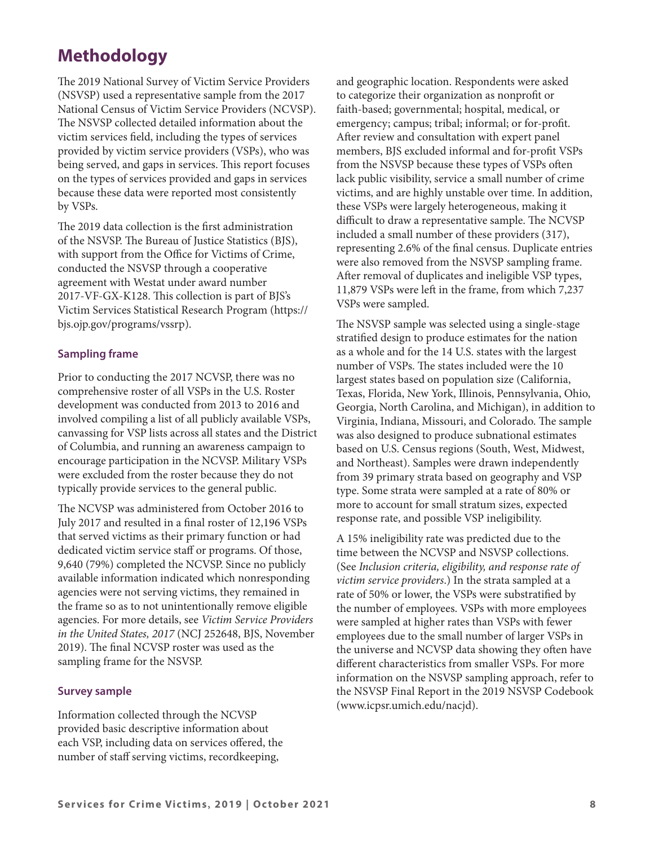# **Methodology**

The 2019 National Survey of Victim Service Providers (NSVSP) used a representative sample from the 2017 National Census of Victim Service Providers (NCVSP). The NSVSP collected detailed information about the victim services feld, including the types of services provided by victim service providers (VSPs), who was being served, and gaps in services. This report focuses on the types of services provided and gaps in services because these data were reported most consistently by VSPs.

The 2019 data collection is the first administration of the NSVSP. The Bureau of Justice Statistics (BJS), with support from the Office for Victims of Crime, conducted the NSVSP through a cooperative agreement with Westat under award number 2017-VF-GX-K128. This collection is part of BJS's Victim Services Statistical Research Program ([https://](https://bjs.ojp.gov/programs/vssrp) [bjs.ojp.gov/programs/vssrp](https://bjs.ojp.gov/programs/vssrp)).

# **Sampling frame**

Prior to conducting the 2017 NCVSP, there was no comprehensive roster of all VSPs in the U.S. Roster development was conducted from 2013 to 2016 and involved compiling a list of all publicly available VSPs, canvassing for VSP lists across all states and the District of Columbia, and running an awareness campaign to encourage participation in the NCVSP. Military VSPs were excluded from the roster because they do not typically provide services to the general public.

The NCVSP was administered from October 2016 to July 2017 and resulted in a fnal roster of 12,196 VSPs that served victims as their primary function or had dedicated victim service staff or programs. Of those, 9,640 (79%) completed the NCVSP. Since no publicly available information indicated which nonresponding agencies were not serving victims, they remained in the frame so as to not unintentionally remove eligible agencies. For more details, see *Victim Service Providers in the United States, 2017* (NCJ 252648, BJS, November 2019). The final NCVSP roster was used as the sampling frame for the NSVSP.

# **Survey sample**

Information collected through the NCVSP provided basic descriptive information about each VSP, including data on services ofered, the number of staff serving victims, recordkeeping,

and geographic location. Respondents were asked to categorize their organization as nonproft or faith-based; governmental; hospital, medical, or emergency; campus; tribal; informal; or for-proft. Afer review and consultation with expert panel members, BJS excluded informal and for-proft VSPs from the NSVSP because these types of VSPs ofen lack public visibility, service a small number of crime victims, and are highly unstable over time. In addition, these VSPs were largely heterogeneous, making it difficult to draw a representative sample. The NCVSP included a small number of these providers (317), representing 2.6% of the fnal census. Duplicate entries were also removed from the NSVSP sampling frame. Afer removal of duplicates and ineligible VSP types, 11,879 VSPs were left in the frame, from which 7,237 VSPs were sampled.

The NSVSP sample was selected using a single-stage stratifed design to produce estimates for the nation as a whole and for the 14 U.S. states with the largest number of VSPs. The states included were the 10 largest states based on population size (California, Texas, Florida, New York, Illinois, Pennsylvania, Ohio, Georgia, North Carolina, and Michigan), in addition to Virginia, Indiana, Missouri, and Colorado. The sample was also designed to produce subnational estimates based on U.S. Census regions (South, West, Midwest, and Northeast). Samples were drawn independently from 39 primary strata based on geography and VSP type. Some strata were sampled at a rate of 80% or more to account for small stratum sizes, expected response rate, and possible VSP ineligibility.

A 15% ineligibility rate was predicted due to the time between the NCVSP and NSVSP collections. (See *Inclusion criteria, eligibility, and response rate of victim service providers*.) In the strata sampled at a rate of 50% or lower, the VSPs were substratifed by the number of employees. VSPs with more employees were sampled at higher rates than VSPs with fewer employees due to the small number of larger VSPs in the universe and NCVSP data showing they often have diferent characteristics from smaller VSPs. For more information on the NSVSP sampling approach, refer to the NSVSP Final Report in the 2019 NSVSP Codebook ([www.icpsr.umich.edu/nacjd\)](https://www.icpsr.umich.edu/web/pages/NACJD/index.html).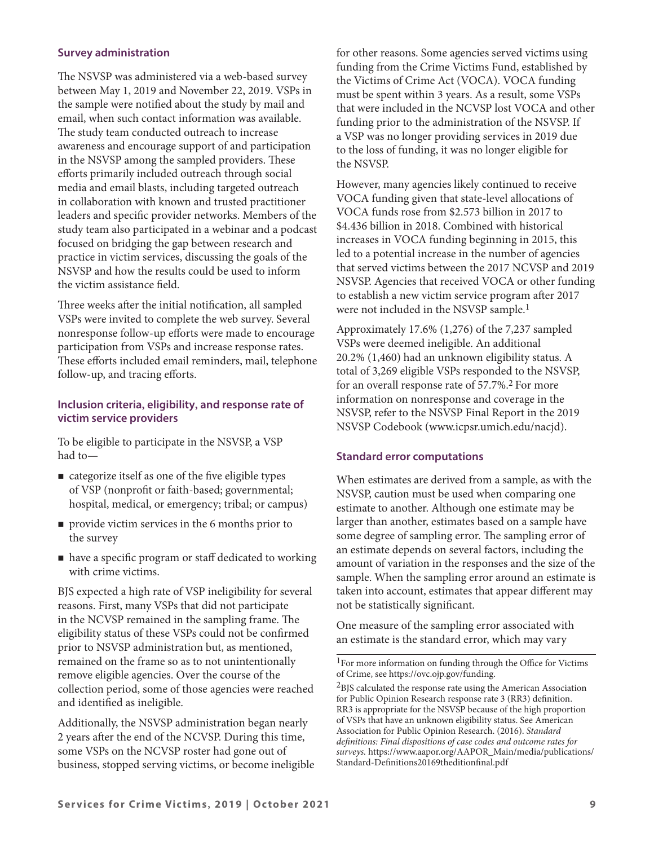# **Survey administration**

The NSVSP was administered via a web-based survey between May 1, 2019 and November 22, 2019. VSPs in the sample were notifed about the study by mail and email, when such contact information was available. The study team conducted outreach to increase awareness and encourage support of and participation in the NSVSP among the sampled providers. These eforts primarily included outreach through social media and email blasts, including targeted outreach in collaboration with known and trusted practitioner leaders and specifc provider networks. Members of the study team also participated in a webinar and a podcast focused on bridging the gap between research and practice in victim services, discussing the goals of the NSVSP and how the results could be used to inform the victim assistance feld.

Three weeks after the initial notification, all sampled VSPs were invited to complete the web survey. Several nonresponse follow-up efforts were made to encourage participation from VSPs and increase response rates. These efforts included email reminders, mail, telephone follow-up, and tracing efforts.

# **Inclusion criteria, eligibility, and response rate of victim service providers**

To be eligible to participate in the NSVSP, a VSP had to—

- categorize itself as one of the fve eligible types of VSP (nonproft or faith-based; governmental; hospital, medical, or emergency; tribal; or campus)
- **provide victim services in the 6 months prior to** the survey
- $\blacksquare$  have a specific program or staff dedicated to working with crime victims.

BJS expected a high rate of VSP ineligibility for several reasons. First, many VSPs that did not participate in the NCVSP remained in the sampling frame. The eligibility status of these VSPs could not be confrmed prior to NSVSP administration but, as mentioned, remained on the frame so as to not unintentionally remove eligible agencies. Over the course of the collection period, some of those agencies were reached and identifed as ineligible.

Additionally, the NSVSP administration began nearly 2 years afer the end of the NCVSP. During this time, some VSPs on the NCVSP roster had gone out of business, stopped serving victims, or become ineligible for other reasons. Some agencies served victims using funding from the Crime Victims Fund, established by the Victims of Crime Act (VOCA). VOCA funding must be spent within 3 years. As a result, some VSPs that were included in the NCVSP lost VOCA and other funding prior to the administration of the NSVSP. If a VSP was no longer providing services in 2019 due to the loss of funding, it was no longer eligible for the NSVSP.

However, many agencies likely continued to receive VOCA funding given that state-level allocations of VOCA funds rose from \$2.573 billion in 2017 to \$4.436 billion in 2018. Combined with historical increases in VOCA funding beginning in 2015, this led to a potential increase in the number of agencies that served victims between the 2017 NCVSP and 2019 NSVSP. Agencies that received VOCA or other funding to establish a new victim service program afer 2017 were not included in the NSVSP sample.1

Approximately 17.6% (1,276) of the 7,237 sampled VSPs were deemed ineligible. An additional 20.2% (1,460) had an unknown eligibility status. A total of 3,269 eligible VSPs responded to the NSVSP, for an overall response rate of 57.7%.2 For more information on nonresponse and coverage in the NSVSP, refer to the NSVSP Final Report in the 2019 NSVSP Codebook ([www.icpsr.umich.edu/nacjd\)](https://www.icpsr.umich.edu/web/pages/NACJD/index.html).

## **Standard error computations**

When estimates are derived from a sample, as with the NSVSP, caution must be used when comparing one estimate to another. Although one estimate may be larger than another, estimates based on a sample have some degree of sampling error. The sampling error of an estimate depends on several factors, including the amount of variation in the responses and the size of the sample. When the sampling error around an estimate is taken into account, estimates that appear diferent may not be statistically signifcant.

One measure of the sampling error associated with an estimate is the standard error, which may vary

<sup>1</sup>For more information on funding through the Office for Victims of Crime, see<https://ovc.ojp.gov/funding>.

2BJS calculated the response rate using the American Association for Public Opinion Research response rate 3 (RR3) defnition. RR3 is appropriate for the NSVSP because of the high proportion of VSPs that have an unknown eligibility status. See American Association for Public Opinion Research. (2016). *Standard defnitions: Final dispositions of case codes and outcome rates for surveys.* [https://www.aapor.org/AAPOR\\_Main/media/publications/](https://www.aapor.org/AAPOR_Main/media/publications/Standard-Definitions20169theditionfinal.pdf) [Standard-Defnitions20169theditionfnal.pdf](https://www.aapor.org/AAPOR_Main/media/publications/Standard-Definitions20169theditionfinal.pdf)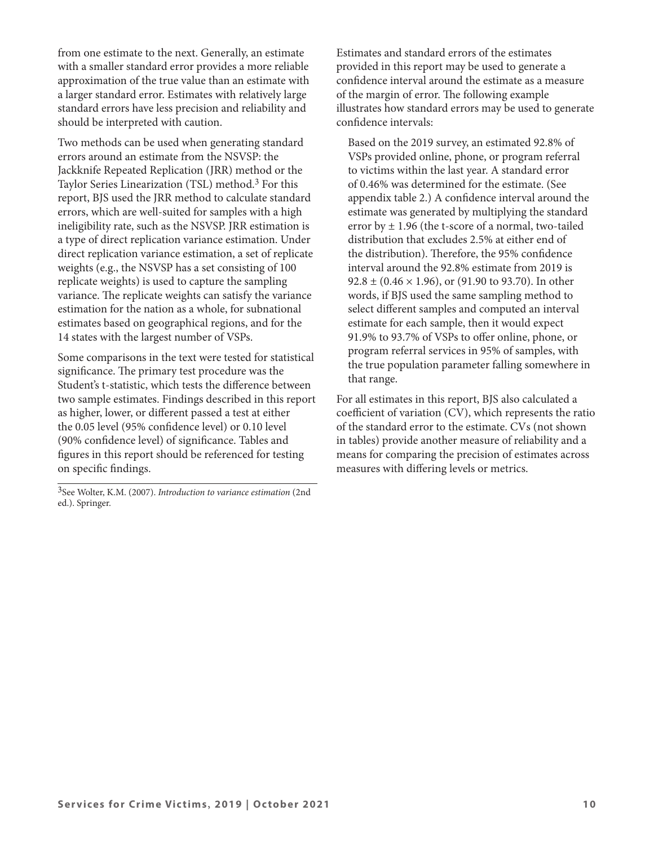from one estimate to the next. Generally, an estimate with a smaller standard error provides a more reliable approximation of the true value than an estimate with a larger standard error. Estimates with relatively large standard errors have less precision and reliability and should be interpreted with caution.

Two methods can be used when generating standard errors around an estimate from the NSVSP: the Jackknife Repeated Replication (JRR) method or the Taylor Series Linearization (TSL) method.3 For this report, BJS used the JRR method to calculate standard errors, which are well-suited for samples with a high ineligibility rate, such as the NSVSP. JRR estimation is a type of direct replication variance estimation. Under direct replication variance estimation, a set of replicate weights (e.g., the NSVSP has a set consisting of 100 replicate weights) is used to capture the sampling variance. The replicate weights can satisfy the variance estimation for the nation as a whole, for subnational estimates based on geographical regions, and for the 14 states with the largest number of VSPs.

Some comparisons in the text were tested for statistical significance. The primary test procedure was the Student's t-statistic, which tests the diference between two sample estimates. Findings described in this report as higher, lower, or diferent passed a test at either the 0.05 level (95% confdence level) or 0.10 level (90% confdence level) of signifcance. Tables and fgures in this report should be referenced for testing on specifc fndings.

3See Wolter, K.M. (2007). *Introduction to variance estimation* (2nd ed.). Springer.

Estimates and standard errors of the estimates provided in this report may be used to generate a confdence interval around the estimate as a measure of the margin of error. The following example illustrates how standard errors may be used to generate confdence intervals:

Based on the 2019 survey, an estimated 92.8% of VSPs provided online, phone, or program referral to victims within the last year. A standard error of 0.46% was determined for the estimate. (See appendix table 2.) A confdence interval around the estimate was generated by multiplying the standard error by  $\pm$  1.96 (the t-score of a normal, two-tailed distribution that excludes 2.5% at either end of the distribution). Therefore, the 95% confidence interval around the 92.8% estimate from 2019 is  $92.8 \pm (0.46 \times 1.96)$ , or (91.90 to 93.70). In other words, if BJS used the same sampling method to select diferent samples and computed an interval estimate for each sample, then it would expect 91.9% to 93.7% of VSPs to ofer online, phone, or program referral services in 95% of samples, with the true population parameter falling somewhere in that range.

For all estimates in this report, BJS also calculated a coefficient of variation  $(CV)$ , which represents the ratio of the standard error to the estimate. CVs (not shown in tables) provide another measure of reliability and a means for comparing the precision of estimates across measures with difering levels or metrics.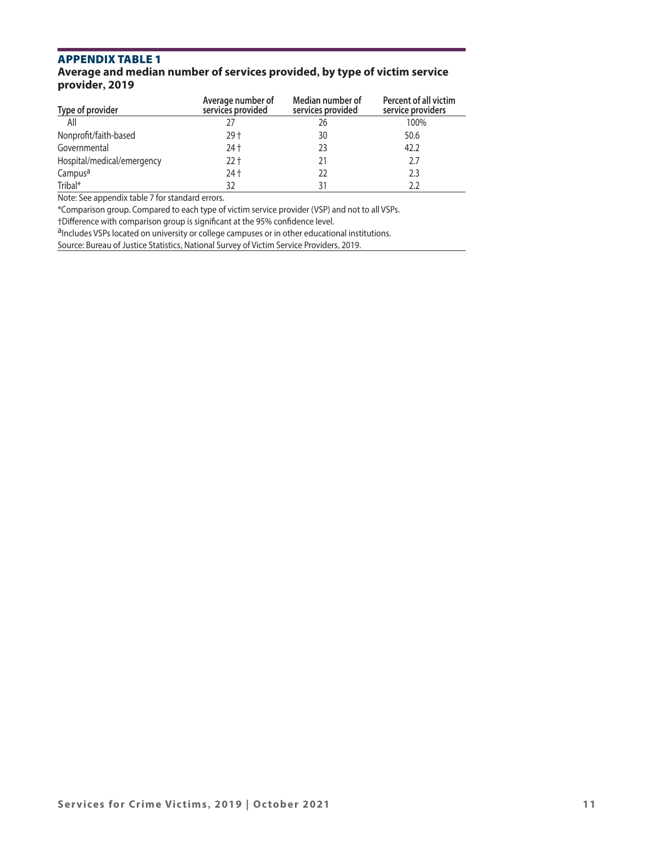# **Average and median number of services provided, by type of victim service provider, 2019**

| Type of provider           | Average number of<br>services provided | Median number of<br>services provided | <b>Percent of all victim</b><br>service providers |
|----------------------------|----------------------------------------|---------------------------------------|---------------------------------------------------|
| All                        | 77                                     | 26                                    | 100%                                              |
| Nonprofit/faith-based      | $29+$                                  | 30                                    | 50.6                                              |
| Governmental               | 24 +                                   | 23                                    | 42.2                                              |
| Hospital/medical/emergency | $22 +$                                 | 21                                    | 2.7                                               |
| Campus <sup>a</sup>        | 24 +                                   | 22                                    | 2.3                                               |
| Tribal*                    | 32                                     | 31                                    |                                                   |

Note: See appendix table 7 for standard errors.

\*Comparison group. Compared to each type of victim service provider (VSP) and not to all VSPs.

†Difference with comparison group is significant at the 95% confidence level.<br><sup>a</sup>Includes VSPs located on university or college campuses or in other educational institutions.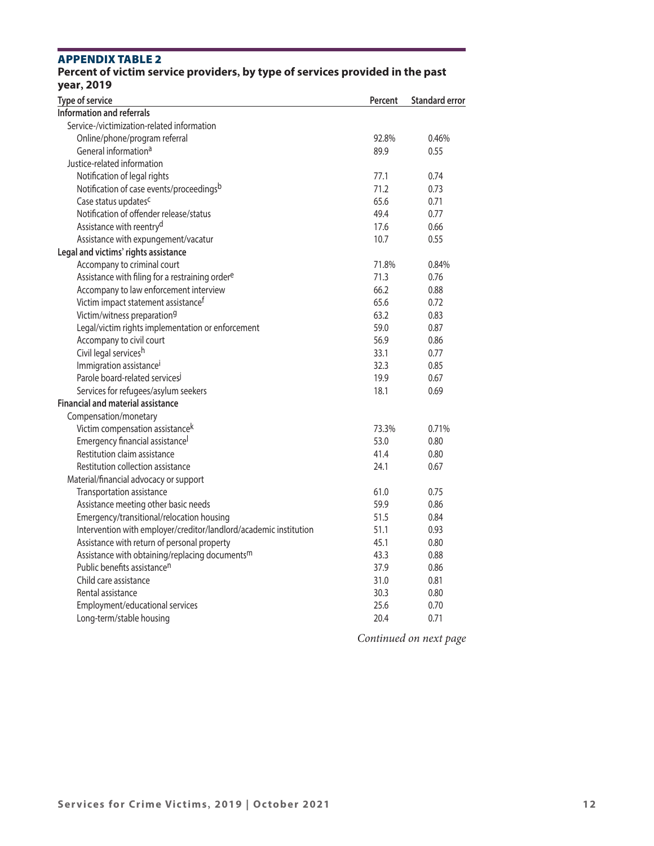| Percent of victim service providers, by type of services provided in the past<br>year, 2019 |         |                       |
|---------------------------------------------------------------------------------------------|---------|-----------------------|
| Type of service                                                                             | Percent | <b>Standard error</b> |
| <b>Information and referrals</b>                                                            |         |                       |
| Service-/victimization-related information                                                  |         |                       |
| Online/phone/program referral                                                               | 92.8%   | 0.46%                 |
| General information <sup>a</sup>                                                            | 89.9    | 0.55                  |
| Justice-related information                                                                 |         |                       |
| Notification of legal rights                                                                | 77.1    | 0.74                  |
| Notification of case events/proceedingsb                                                    | 71.2    | 0.73                  |
| Case status updates <sup>c</sup>                                                            | 65.6    | 0.71                  |
| Notification of offender release/status                                                     | 49.4    | 0.77                  |
| Assistance with reentry <sup>d</sup>                                                        | 17.6    | 0.66                  |
| Assistance with expungement/vacatur                                                         | 10.7    | 0.55                  |
| Legal and victims' rights assistance                                                        |         |                       |
| Accompany to criminal court                                                                 | 71.8%   | 0.84%                 |
| Assistance with filing for a restraining ordere                                             | 71.3    | 0.76                  |
| Accompany to law enforcement interview                                                      | 66.2    | 0.88                  |
| Victim impact statement assistance <sup>f</sup>                                             | 65.6    | 0.72                  |
| Victim/witness preparation <sup>9</sup>                                                     | 63.2    | 0.83                  |
| Legal/victim rights implementation or enforcement                                           | 59.0    | 0.87                  |
| Accompany to civil court                                                                    | 56.9    | 0.86                  |
| Civil legal servicesh                                                                       | 33.1    | 0.77                  |
| Immigration assistance <sup>i</sup>                                                         | 32.3    | 0.85                  |
| Parole board-related services                                                               | 19.9    | 0.67                  |
| Services for refugees/asylum seekers                                                        | 18.1    | 0.69                  |
| <b>Financial and material assistance</b>                                                    |         |                       |
| Compensation/monetary                                                                       |         |                       |
| Victim compensation assistance <sup>k</sup>                                                 | 73.3%   | 0.71%                 |
| Emergency financial assistance                                                              | 53.0    | 0.80                  |
| Restitution claim assistance                                                                | 41.4    | 0.80                  |
| Restitution collection assistance                                                           | 24.1    | 0.67                  |
| Material/financial advocacy or support                                                      |         |                       |
| Transportation assistance                                                                   | 61.0    | 0.75                  |
| Assistance meeting other basic needs                                                        | 59.9    | 0.86                  |
| Emergency/transitional/relocation housing                                                   | 51.5    | 0.84                  |
| Intervention with employer/creditor/landlord/academic institution                           | 51.1    | 0.93                  |
| Assistance with return of personal property                                                 | 45.1    | 0.80                  |
| Assistance with obtaining/replacing documents <sup>m</sup>                                  | 43.3    | 0.88                  |
| Public benefits assistance <sup>n</sup>                                                     | 37.9    | 0.86                  |
| Child care assistance                                                                       | 31.0    | 0.81                  |
| Rental assistance                                                                           | 30.3    | 0.80                  |
| Employment/educational services                                                             | 25.6    | 0.70                  |
| Long-term/stable housing                                                                    | 20.4    | 0.71                  |

# **APPENDIX TABLE 2 Percent of victim service providers, by type of services provided in the past**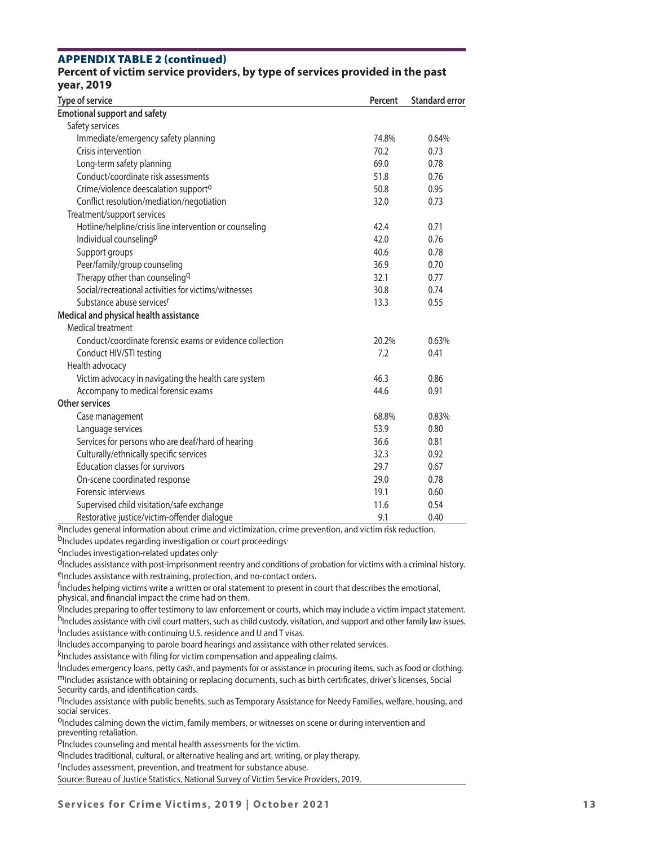#### appendix Table 2 ( continued) **Percent of victim service providers, by type of services provided in the past year, 2019**

| <b>Type of service</b>                                   | Percent | <b>Standard error</b> |
|----------------------------------------------------------|---------|-----------------------|
| <b>Emotional support and safety</b>                      |         |                       |
| Safety services                                          |         |                       |
| Immediate/emergency safety planning                      | 74.8%   | 0.64%                 |
| Crisis intervention                                      | 70.2    | 0.73                  |
| Long-term safety planning                                | 69.0    | 0.78                  |
| Conduct/coordinate risk assessments                      | 51.8    | 0.76                  |
| Crime/violence deescalation support <sup>o</sup>         | 50.8    | 0.95                  |
| Conflict resolution/mediation/negotiation                | 32.0    | 0.73                  |
| Treatment/support services                               |         |                       |
| Hotline/helpline/crisis line intervention or counseling  | 42.4    | 0.71                  |
| Individual counseling <sup>p</sup>                       | 42.0    | 0.76                  |
| Support groups                                           | 40.6    | 0.78                  |
| Peer/family/group counseling                             | 36.9    | 0.70                  |
| Therapy other than counseling <sup>q</sup>               | 32.1    | 0.77                  |
| Social/recreational activities for victims/witnesses     | 30.8    | 0.74                  |
| Substance abuse services <sup>r</sup>                    | 13.3    | 0.55                  |
| Medical and physical health assistance                   |         |                       |
| Medical treatment                                        |         |                       |
| Conduct/coordinate forensic exams or evidence collection | 20.2%   | 0.63%                 |
| Conduct HIV/STI testing                                  | 7.2     | 0.41                  |
| Health advocacy                                          |         |                       |
| Victim advocacy in navigating the health care system     | 46.3    | 0.86                  |
| Accompany to medical forensic exams                      | 44.6    | 0.91                  |
| <b>Other services</b>                                    |         |                       |
| Case management                                          | 68.8%   | 0.83%                 |
| Language services                                        | 53.9    | 0.80                  |
| Services for persons who are deaf/hard of hearing        | 36.6    | 0.81                  |
| Culturally/ethnically specific services                  | 32.3    | 0.92                  |
| Education classes for survivors                          | 29.7    | 0.67                  |
| On-scene coordinated response                            | 29.0    | 0.78                  |
| Forensic interviews                                      | 19.1    | 0.60                  |
| Supervised child visitation/safe exchange                | 11.6    | 0.54                  |
| Restorative iustice/victim-offender dialoque             | 9.1     | 0.40                  |

a<sub>Includes general information about crime and victimization, crime prevention, and victim risk reduction.</sub>

bIncludes updates regarding investigation or court proceedings.

<sup>C</sup>Includes investigation-related updates only-

dIncludes assistance with post-imprisonment reentry and conditions of probation for victims with a criminal history. eIncludes assistance with restraining, protection, and no-contact orders.

<sup>f</sup>Includes helping victims write a written or oral statement to present in court that describes the emotional, physical, and fnancial impact the crime had on them.

9Includes preparing to offer testimony to law enforcement or courts, which may include a victim impact statement. hIncludes assistance with civil court matters, such as child custody, visitation, and support and other family law issues. <sup>i</sup>Includes assistance with continuing U.S. residence and U and T visas.

.<br><sup>J</sup>Includes accompanying to parole board hearings and assistance with other related services.

k<sup>I</sup>ncludes assistance with filing for victim compensation and appealing claims.

loculudes emergency loans, petty cash, and payments for or assistance in procuring items, such as food or clothing. m Includes assistance with obtaining or replacing documents, such as birth certificates, driver's licenses, Social<br>Security cards, and identification cards.

nIncludes assistance with public benefits, such as Temporary Assistance for Needy Families, welfare, housing, and social services.

<sup>O</sup>Includes calming down the victim, family members, or witnesses on scene or during intervention and preventing retaliation.

pIncludes counseling and mental health assessments for the victim.

<sup>q</sup>Includes traditional, cultural, or alternative healing and art, writing, or play therapy.

Includes assessment, prevention, and treatment for substance abuse.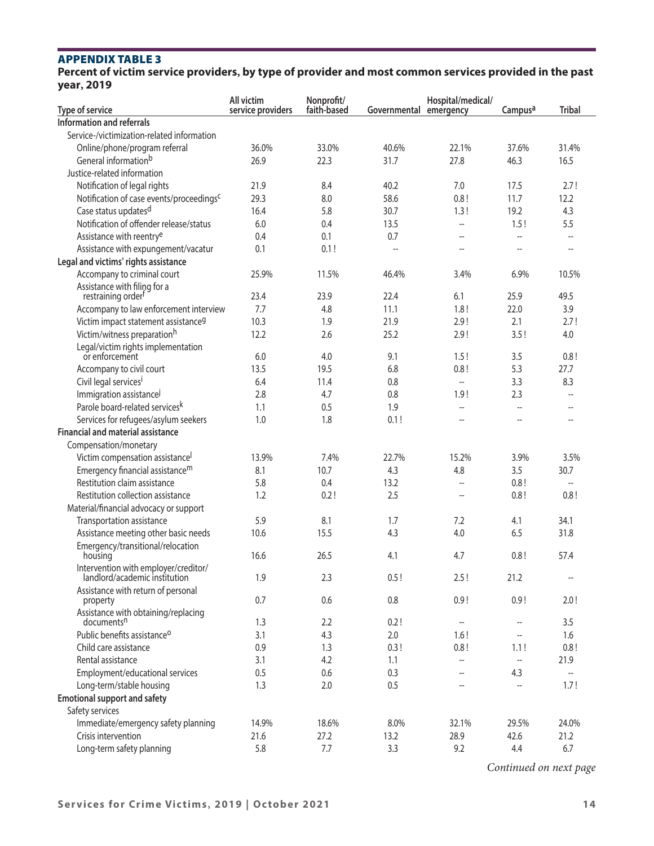**Percent of victim service providers, by type of provider and most common services provided in the past year, 2019** 

|                                                      | All victim        | Nonprofit/  |                        | Hospital/medical/        |                          |                          |
|------------------------------------------------------|-------------------|-------------|------------------------|--------------------------|--------------------------|--------------------------|
| Type of service                                      | service providers | faith-based | Governmental emergency |                          | Campus <sup>a</sup>      | <b>Tribal</b>            |
| Information and referrals                            |                   |             |                        |                          |                          |                          |
| Service-/victimization-related information           |                   |             |                        |                          |                          |                          |
| Online/phone/program referral                        | 36.0%             | 33.0%       | 40.6%                  | 22.1%                    | 37.6%                    | 31.4%                    |
| General informationb                                 | 26.9              | 22.3        | 31.7                   | 27.8                     | 46.3                     | 16.5                     |
| Justice-related information                          |                   |             |                        |                          |                          |                          |
| Notification of legal rights                         | 21.9              | 8.4         | 40.2                   | 7.0                      | 17.5                     | 2.7!                     |
| Notification of case events/proceedings <sup>c</sup> | 29.3              | 8.0         | 58.6                   | 0.8!                     | 11.7                     | 12.2                     |
| Case status updates <sup>d</sup>                     | 16.4              | 5.8         | 30.7                   | 1.3!                     | 19.2                     | 4.3                      |
| Notification of offender release/status              | 6.0               | 0.4         | 13.5                   | u.                       | 1.5!                     | 5.5                      |
| Assistance with reentry <sup>e</sup>                 | 0.4               | 0.1         | 0.7                    | --                       | цц.                      | $\overline{\phantom{a}}$ |
| Assistance with expungement/vacatur                  | 0.1               | 0.1!        | $\overline{a}$         | $\overline{a}$           | $-$                      | $\overline{a}$           |
| Legal and victims' rights assistance                 |                   |             |                        |                          |                          |                          |
| Accompany to criminal court                          | 25.9%             | 11.5%       | 46.4%                  | 3.4%                     | 6.9%                     | 10.5%                    |
| Assistance with filing for a                         |                   |             |                        |                          |                          |                          |
| restraining order <sup>f</sup>                       | 23.4              | 23.9        | 22.4                   | 6.1                      | 25.9                     | 49.5                     |
| Accompany to law enforcement interview               | 7.7               | 4.8         | 11.1                   | 1.8!                     | 22.0                     | 3.9                      |
| Victim impact statement assistance <sup>g</sup>      | 10.3              | 1.9         | 21.9                   | 2.9!                     | 2.1                      | 2.7!                     |
| Victim/witness preparationh                          | 12.2              | 2.6         | 25.2                   | 2.9!                     | 3.5!                     | 4.0                      |
| Legal/victim rights implementation<br>or enforcement | 6.0               | 4.0         | 9.1                    | 1.5!                     | 3.5                      | 0.8!                     |
| Accompany to civil court                             | 13.5              | 19.5        | 6.8                    | 0.8!                     | 5.3                      | 27.7                     |
| Civil legal services <sup>i</sup>                    | 6.4               | 11.4        | 0.8                    | ш,                       | 3.3                      | 8.3                      |
| Immigration assistance                               | 2.8               | 4.7         | 0.8                    | 1.9!                     | 2.3                      | $\overline{\phantom{a}}$ |
| Parole board-related services <sup>k</sup>           | 1.1               | 0.5         | 1.9                    | $\overline{a}$           | $\overline{a}$           | $\overline{\phantom{a}}$ |
| Services for refugees/asylum seekers                 | 1.0               | 1.8         | 0.1!                   | $\overline{a}$           | $\overline{a}$           | $\overline{\phantom{a}}$ |
| <b>Financial and material assistance</b>             |                   |             |                        |                          |                          |                          |
| Compensation/monetary                                |                   |             |                        |                          |                          |                          |
| Victim compensation assistancel                      | 13.9%             | 7.4%        | 22.7%                  | 15.2%                    | 3.9%                     | 3.5%                     |
| Emergency financial assistance <sup>m</sup>          | 8.1               | 10.7        | 4.3                    | 4.8                      | 3.5                      | 30.7                     |
| Restitution claim assistance                         | 5.8               | 0.4         | 13.2                   | $\overline{a}$           | 0.8!                     | $\overline{\phantom{a}}$ |
| Restitution collection assistance                    | 1.2               | 0.2!        | 2.5                    |                          | 0.8!                     | 0.8!                     |
|                                                      |                   |             |                        |                          |                          |                          |
| Material/financial advocacy or support               |                   |             |                        |                          |                          |                          |
| Transportation assistance                            | 5.9               | 8.1         | 1.7                    | 7.2                      | 4.1                      | 34.1                     |
| Assistance meeting other basic needs                 | 10.6              | 15.5        | 4.3                    | 4.0                      | 6.5                      | 31.8                     |
| Emergency/transitional/relocation<br>housing         | 16.6              | 26.5        | 4.1                    | 4.7                      | 0.8!                     | 57.4                     |
| Intervention with employer/creditor/                 |                   |             |                        |                          |                          |                          |
| landlord/academic institution                        | 1.9               | 2.3         | 0.5!                   | 2.5!                     | 21.2                     | $\overline{\phantom{a}}$ |
| Assistance with return of personal                   |                   |             |                        |                          |                          |                          |
| property                                             | 0.7               | 0.6         | 0.8                    | 0.9!                     | 0.9!                     | 2.0!                     |
| Assistance with obtaining/replacing                  |                   |             |                        |                          |                          |                          |
| documents <sup>n</sup>                               | 1.3               | 2.2         | 0.2!                   | $\overline{\phantom{a}}$ | $\overline{\phantom{a}}$ | 3.5                      |
| Public benefits assistance <sup>o</sup>              | 3.1               | 4.3         | 2.0                    | 1.6!                     | $\overline{\phantom{a}}$ | 1.6                      |
| Child care assistance                                | 0.9               | 1.3         | 0.3!                   | 0.8!                     | 1.1!                     | 0.8!                     |
| Rental assistance                                    | 3.1               | 4.2         | 1.1                    | --                       | $\overline{\phantom{a}}$ | 21.9                     |
| Employment/educational services                      | 0.5               | 0.6         | 0.3                    | $\overline{\phantom{a}}$ | 4.3                      | $\overline{\phantom{a}}$ |
| Long-term/stable housing                             | 1.3               | 2.0         | 0.5                    | $\overline{a}$           | ÷.                       | 1.7!                     |
| <b>Emotional support and safety</b>                  |                   |             |                        |                          |                          |                          |
| Safety services                                      |                   |             |                        |                          |                          |                          |
| Immediate/emergency safety planning                  | 14.9%             | 18.6%       | 8.0%                   | 32.1%                    | 29.5%                    | 24.0%                    |
| Crisis intervention                                  | 21.6              | 27.2        | 13.2                   | 28.9                     | 42.6                     | 21.2                     |
| Long-term safety planning                            | 5.8               | 7.7         | 3.3                    | 9.2                      | 4.4                      | 6.7                      |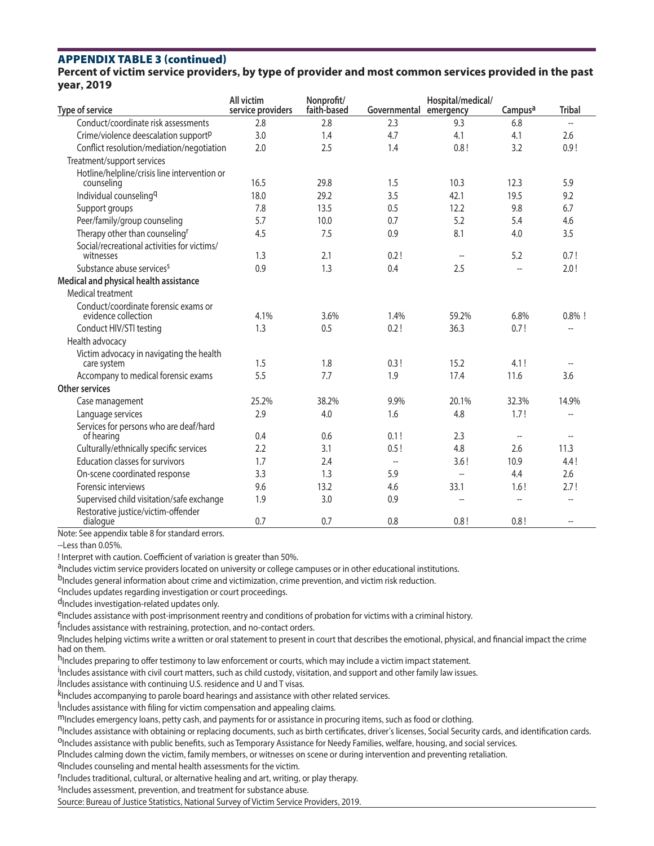# appendix Table 3 ( continued)

**Percent of victim service providers, by type of provider and most common services provided in the past year, 2019** 

| Type of service                                             | All victim<br>service providers | Nonprofit/<br>faith-based | Governmental emergency   | Hospital/medical/                                   | Campus <sup>a</sup>      | <b>Tribal</b>            |
|-------------------------------------------------------------|---------------------------------|---------------------------|--------------------------|-----------------------------------------------------|--------------------------|--------------------------|
| Conduct/coordinate risk assessments                         | 2.8                             | 2.8                       | 2.3                      | 9.3                                                 | 6.8                      | $\overline{a}$           |
| Crime/violence deescalation support <sup>p</sup>            | 3.0                             | 1.4                       | 4.7                      | 4.1                                                 | 4.1                      | 2.6                      |
| Conflict resolution/mediation/negotiation                   | 2.0                             | 2.5                       | 1.4                      | 0.8!                                                | 3.2                      | 0.9!                     |
| Treatment/support services                                  |                                 |                           |                          |                                                     |                          |                          |
| Hotline/helpline/crisis line intervention or<br>counseling  | 16.5                            | 29.8                      | 1.5                      | 10.3                                                | 12.3                     | 5.9                      |
| Individual counseling <sup>q</sup>                          | 18.0                            | 29.2                      | 3.5                      | 42.1                                                | 19.5                     | 9.2                      |
| Support groups                                              | 7.8                             | 13.5                      | 0.5                      | 12.2                                                | 9.8                      | 6.7                      |
| Peer/family/group counseling                                | 5.7                             | 10.0                      | 0.7                      | 5.2                                                 | 5.4                      | 4.6                      |
| Therapy other than counseling <sup>r</sup>                  | 4.5                             | 7.5                       | 0.9                      | 8.1                                                 | 4.0                      | 3.5                      |
| Social/recreational activities for victims/<br>witnesses    | 1.3                             | 2.1                       | 0.2!                     | $\hspace{0.05cm} -\hspace{0.05cm} -\hspace{0.05cm}$ | 5.2                      | 0.7!                     |
| Substance abuse services <sup>s</sup>                       | 0.9                             | 1.3                       | 0.4                      | 2.5                                                 |                          | 2.0!                     |
| Medical and physical health assistance                      |                                 |                           |                          |                                                     |                          |                          |
| Medical treatment                                           |                                 |                           |                          |                                                     |                          |                          |
| Conduct/coordinate forensic exams or<br>evidence collection | 4.1%                            | 3.6%                      | 1.4%                     | 59.2%                                               | 6.8%                     | $0.8\%$ !                |
| Conduct HIV/STI testing                                     | 1.3                             | 0.5                       | 0.2!                     | 36.3                                                | 0.7!                     | $\sim$                   |
| Health advocacy                                             |                                 |                           |                          |                                                     |                          |                          |
| Victim advocacy in navigating the health<br>care system     | 1.5                             | 1.8                       | 0.3!                     | 15.2                                                | 4.1!                     | $\overline{\phantom{a}}$ |
| Accompany to medical forensic exams                         | 5.5                             | 7.7                       | 1.9                      | 17.4                                                | 11.6                     | 3.6                      |
| <b>Other services</b>                                       |                                 |                           |                          |                                                     |                          |                          |
| Case management                                             | 25.2%                           | 38.2%                     | 9.9%                     | 20.1%                                               | 32.3%                    | 14.9%                    |
| Language services                                           | 2.9                             | 4.0                       | 1.6                      | 4.8                                                 | 1.7!                     | $\overline{\phantom{m}}$ |
| Services for persons who are deaf/hard<br>of hearing        | 0.4                             | 0.6                       | 0.1!                     | 2.3                                                 | $\overline{\phantom{a}}$ | $\overline{\phantom{a}}$ |
| Culturally/ethnically specific services                     | 2.2                             | 3.1                       | 0.5!                     | 4.8                                                 | 2.6                      | 11.3                     |
| <b>Education classes for survivors</b>                      | 1.7                             | 2.4                       | $\overline{\phantom{a}}$ | 3.6!                                                | 10.9                     | 4.4!                     |
| On-scene coordinated response                               | 3.3                             | 1.3                       | 5.9                      | --                                                  | 4.4                      | 2.6                      |
| Forensic interviews                                         | 9.6                             | 13.2                      | 4.6                      | 33.1                                                | 1.6!                     | 2.7!                     |
| Supervised child visitation/safe exchange                   | 1.9                             | 3.0                       | 0.9                      | $-$                                                 | $\overline{a}$           | $\overline{a}$           |
| Restorative justice/victim-offender<br>dialogue             | 0.7                             | 0.7                       | 0.8                      | 0.8!                                                | 0.8!                     |                          |

Note: See appendix table 8 for standard errors.

--Less than 0.05%.

! Interpret with caution. Coefficient of variation is greater than 50%.

aIncludes victim service providers located on university or college campuses or in other educational institutions.

bIncludes general information about crime and victimization, crime prevention, and victim risk reduction.<br><sup>C</sup>Includes updates regarding investigation or court proceedings.

d<sub>Includes</sub> investigation-related updates only.

eIncludes assistance with post-imprisonment reentry and conditions of probation for victims with a criminal history.

<sup>f</sup>Includes assistance with restraining, protection, and no-contact orders.

gIncludes helping victims write a written or oral statement to present in court that describes the emotional, physical, and fnancial impact the crime had on them.

h<sub>Includes preparing to offer testimony to law enforcement or courts, which may include a victim impact statement.</sub>

<sup>i</sup>Includes assistance with civil court matters, such as child custody, visitation, and support and other family law issues.

.<br>Includes assistance with continuing U.S. residence and U and T visas.

k<sub>Includes</sub> accompanying to parole board hearings and assistance with other related services.

Includes assistance with filing for victim compensation and appealing claims.

m<sub>Includes</sub> emergency loans, petty cash, and payments for or assistance in procuring items, such as food or clothing.<br><sup>n</sup>Includes assistance with obtaining or replacing documents, such as birth certificates, driver's licen

PIncludes calming down the victim, family members, or witnesses on scene or during intervention and preventing retaliation.

qIncludes counseling and mental health assessments for the victim.

<sup>r</sup>Includes traditional, cultural, or alternative healing and art, writing, or play therapy.

<sup>S</sup>Includes assessment, prevention, and treatment for substance abuse.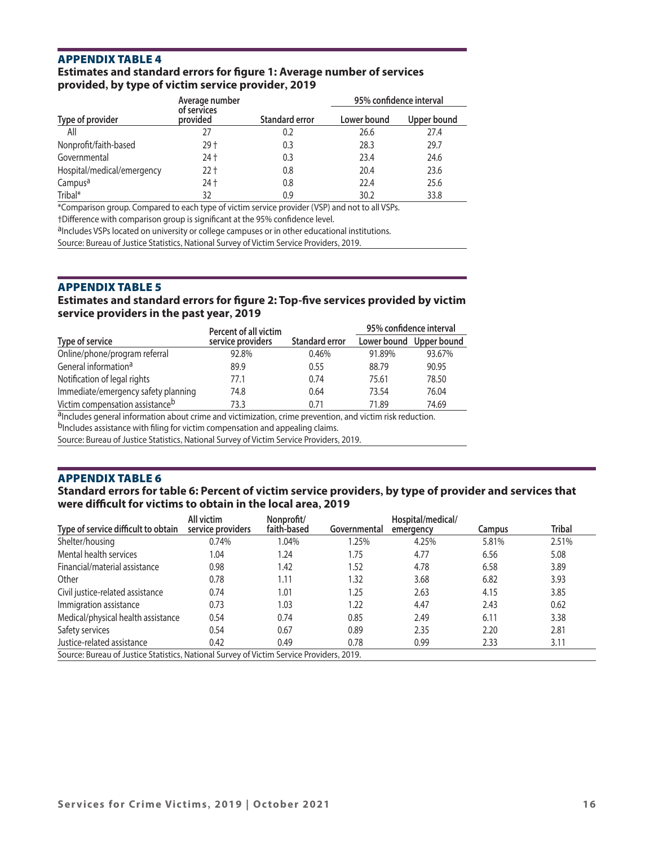# **Estimates and standard errors for fgure 1: Average number of services provided, by type of victim service provider, 2019**

|                            | Average number          |                       | 95% confidence interval |             |  |
|----------------------------|-------------------------|-----------------------|-------------------------|-------------|--|
| Type of provider           | of services<br>provided | <b>Standard error</b> | Lower bound             | Upper bound |  |
| All                        | 27                      | 0.2                   | 26.6                    | 27.4        |  |
| Nonprofit/faith-based      | 29 t                    | 0.3                   | 28.3                    | 29.7        |  |
| Governmental               | 24 t                    | 0.3                   | 23.4                    | 24.6        |  |
| Hospital/medical/emergency | 22 †                    | 0.8                   | 20.4                    | 23.6        |  |
| Campus <sup>a</sup>        | 24 t                    | 0.8                   | 22.4                    | 25.6        |  |
| Tribal*                    | 32                      | 0.9                   | 30.2                    | 33.8        |  |

\*Comparison group. Compared to each type of victim service provider (VSP) and not to all VSPs.

†Difference with comparison group is significant at the 95% confidence level.<br><sup>a</sup>Includes VSPs located on university or college campuses or in other educational institutions.

Source: Bureau of Justice Statistics, National Survey of Victim Service Providers, 2019.

## appendix Table 5

#### **Estimates and standard errors for fgure 2: Top-fve services provided by victim service providers in the past year, 2019**

|                                             | <b>Percent of all victim</b> |                       | 95% confidence interval |                         |  |
|---------------------------------------------|------------------------------|-----------------------|-------------------------|-------------------------|--|
| Type of service                             | service providers            | <b>Standard error</b> |                         | Lower bound Upper bound |  |
| Online/phone/program referral               | 92.8%                        | 0.46%                 | 91.89%                  | 93.67%                  |  |
| General information <sup>a</sup>            | 89.9                         | 0.55                  | 88.79                   | 90.95                   |  |
| Notification of legal rights                | 77.1                         | 0.74                  | 75.61                   | 78.50                   |  |
| Immediate/emergency safety planning         | 74.8                         | 0.64                  | 73.54                   | 76.04                   |  |
| Victim compensation assistance <sup>b</sup> | 73.3                         | 071                   | 71.89                   | 74.69                   |  |

aIncludes general information about crime and victimization, crime prevention, and victim risk reduction.

bIncludes assistance with filing for victim compensation and appealing claims.

Source: Bureau of Justice Statistics, National Survey of Victim Service Providers, 2019.

# appendix Table 6

# **Standard errors for table 6: Percent of victim service providers, by type of provider and services that were difcult for victims to obtain in the local area, 2019**

| Type of service difficult to obtain                                                      | All victim<br>service providers | Nonprofit/<br>faith-based | Governmental | Hospital/medical/<br>emergency | Campus | <b>Tribal</b> |
|------------------------------------------------------------------------------------------|---------------------------------|---------------------------|--------------|--------------------------------|--------|---------------|
| Shelter/housing                                                                          | 0.74%                           | 1.04%                     | 1.25%        | 4.25%                          | 5.81%  | 2.51%         |
| Mental health services                                                                   | 1.04                            | 1.24                      | 1.75         | 4.77                           | 6.56   | 5.08          |
| Financial/material assistance                                                            | 0.98                            | 1.42                      | 1.52         | 4.78                           | 6.58   | 3.89          |
| Other                                                                                    | 0.78                            | 1.11                      | 1.32         | 3.68                           | 6.82   | 3.93          |
| Civil justice-related assistance                                                         | 0.74                            | 1.01                      | 1.25         | 2.63                           | 4.15   | 3.85          |
| Immigration assistance                                                                   | 0.73                            | 1.03                      | 1.22         | 4.47                           | 2.43   | 0.62          |
| Medical/physical health assistance                                                       | 0.54                            | 0.74                      | 0.85         | 2.49                           | 6.11   | 3.38          |
| Safety services                                                                          | 0.54                            | 0.67                      | 0.89         | 2.35                           | 2.20   | 2.81          |
| Justice-related assistance                                                               | 0.42                            | 0.49                      | 0.78         | 0.99                           | 2.33   | 3.11          |
| Source: Bureau of Justice Statistics, National Survey of Victim Service Providers, 2019. |                                 |                           |              |                                |        |               |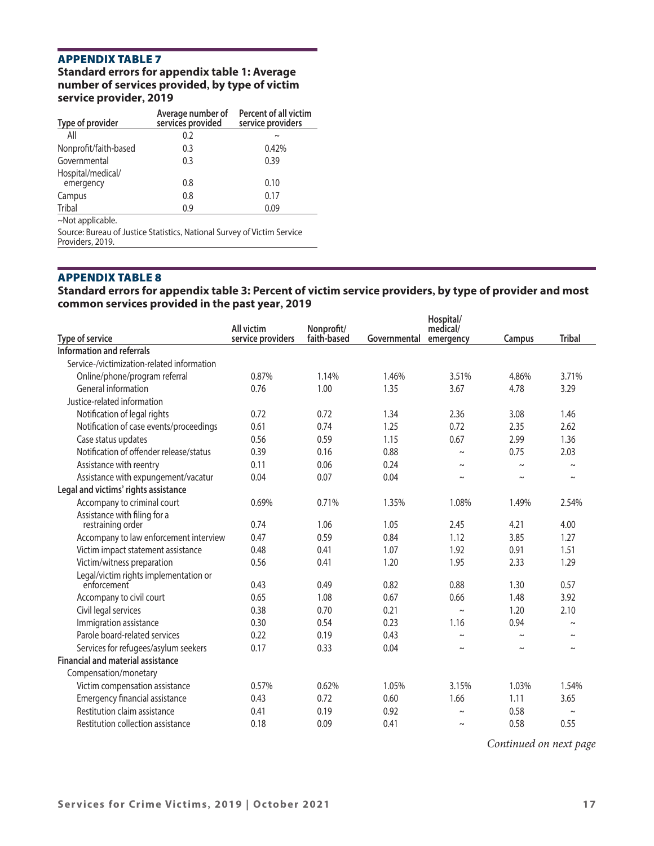# **Standard errors for appendix table 1: Average number of services provided, by type of victim service provider, 2019**

| Type of provider               | Average number of<br>services provided | <b>Percent of all victim</b><br>service providers |
|--------------------------------|----------------------------------------|---------------------------------------------------|
| All                            | 0.2                                    | $\tilde{}$                                        |
| Nonprofit/faith-based          | 0.3                                    | 0.42%                                             |
| Governmental                   | 0.3                                    | 0.39                                              |
| Hospital/medical/<br>emergency | 0.8                                    | 0.10                                              |
| Campus                         | 0.8                                    | 0.17                                              |
| Tribal                         | 0.9                                    | 0.09                                              |
| $\sim$ Not applicable.         |                                        |                                                   |

Source: Bureau of Justice Statistics, National Survey of Victim Service Providers, 2019.

# appendix Table 8

# **Standard errors for appendix table 3: Percent of victim service providers, by type of provider and most common services provided in the past year, 2019**

| All victim<br>Nonprofit/<br>service providers<br>Type of service<br>faith-based<br>Governmental<br>Information and referrals<br>Service-/victimization-related information<br>0.87%<br>Online/phone/program referral<br>1.14%<br>1.46%<br>General information<br>0.76<br>1.00<br>1.35<br>Justice-related information<br>Notification of legal rights<br>0.72<br>0.72<br>1.34<br>0.61<br>Notification of case events/proceedings<br>0.74<br>1.25<br>Case status updates<br>0.56<br>0.59<br>1.15<br>Notification of offender release/status<br>0.39<br>0.16<br>0.88 | Hospital/<br>medical/ |                       |               |
|-------------------------------------------------------------------------------------------------------------------------------------------------------------------------------------------------------------------------------------------------------------------------------------------------------------------------------------------------------------------------------------------------------------------------------------------------------------------------------------------------------------------------------------------------------------------|-----------------------|-----------------------|---------------|
|                                                                                                                                                                                                                                                                                                                                                                                                                                                                                                                                                                   | emergency             | Campus                | <b>Tribal</b> |
|                                                                                                                                                                                                                                                                                                                                                                                                                                                                                                                                                                   |                       |                       |               |
|                                                                                                                                                                                                                                                                                                                                                                                                                                                                                                                                                                   |                       |                       |               |
|                                                                                                                                                                                                                                                                                                                                                                                                                                                                                                                                                                   | 3.51%                 | 4.86%                 | 3.71%         |
|                                                                                                                                                                                                                                                                                                                                                                                                                                                                                                                                                                   | 3.67                  | 4.78                  | 3.29          |
|                                                                                                                                                                                                                                                                                                                                                                                                                                                                                                                                                                   |                       |                       |               |
|                                                                                                                                                                                                                                                                                                                                                                                                                                                                                                                                                                   | 2.36                  | 3.08                  | 1.46          |
|                                                                                                                                                                                                                                                                                                                                                                                                                                                                                                                                                                   | 0.72                  | 2.35                  | 2.62          |
|                                                                                                                                                                                                                                                                                                                                                                                                                                                                                                                                                                   | 0.67                  | 2.99                  | 1.36          |
|                                                                                                                                                                                                                                                                                                                                                                                                                                                                                                                                                                   | $\sim$                | 0.75                  | 2.03          |
| Assistance with reentry<br>0.11<br>0.06<br>0.24                                                                                                                                                                                                                                                                                                                                                                                                                                                                                                                   | $\thicksim$           | $\tilde{\phantom{a}}$ |               |
| Assistance with expungement/vacatur<br>0.04<br>0.07<br>0.04                                                                                                                                                                                                                                                                                                                                                                                                                                                                                                       | $\sim$                | $\tilde{}$            |               |
| Legal and victims' rights assistance                                                                                                                                                                                                                                                                                                                                                                                                                                                                                                                              |                       |                       |               |
| Accompany to criminal court<br>0.69%<br>0.71%<br>1.35%                                                                                                                                                                                                                                                                                                                                                                                                                                                                                                            | 1.08%                 | 1.49%                 | 2.54%         |
| Assistance with filing for a                                                                                                                                                                                                                                                                                                                                                                                                                                                                                                                                      |                       |                       |               |
| 0.74<br>1.06<br>1.05<br>restraining order                                                                                                                                                                                                                                                                                                                                                                                                                                                                                                                         | 2.45                  | 4.21                  | 4.00          |
| Accompany to law enforcement interview<br>0.47<br>0.59<br>0.84                                                                                                                                                                                                                                                                                                                                                                                                                                                                                                    | 1.12                  | 3.85                  | 1.27          |
| 0.41<br>1.07<br>Victim impact statement assistance<br>0.48                                                                                                                                                                                                                                                                                                                                                                                                                                                                                                        | 1.92                  | 0.91                  | 1.51          |
| Victim/witness preparation<br>0.56<br>0.41<br>1.20                                                                                                                                                                                                                                                                                                                                                                                                                                                                                                                | 1.95                  | 2.33                  | 1.29          |
| Legal/victim rights implementation or                                                                                                                                                                                                                                                                                                                                                                                                                                                                                                                             |                       |                       |               |
| 0.43<br>0.49<br>0.82<br>enforcement                                                                                                                                                                                                                                                                                                                                                                                                                                                                                                                               | 0.88                  | 1.30                  | 0.57          |
| 0.65<br>1.08<br>Accompany to civil court<br>0.67                                                                                                                                                                                                                                                                                                                                                                                                                                                                                                                  | 0.66                  | 1.48                  | 3.92          |
| 0.38<br>0.70<br>0.21<br>Civil legal services                                                                                                                                                                                                                                                                                                                                                                                                                                                                                                                      | $\sim$                | 1.20                  | 2.10          |
| Immigration assistance<br>0.30<br>0.54<br>0.23                                                                                                                                                                                                                                                                                                                                                                                                                                                                                                                    | 1.16                  | 0.94                  |               |
| Parole board-related services<br>0.22<br>0.19<br>0.43                                                                                                                                                                                                                                                                                                                                                                                                                                                                                                             | $\tilde{\phantom{a}}$ | $\thicksim$           |               |
| Services for refugees/asylum seekers<br>0.17<br>0.33<br>0.04                                                                                                                                                                                                                                                                                                                                                                                                                                                                                                      | $\sim$                | $\tilde{}$            | $\sim$        |
| <b>Financial and material assistance</b>                                                                                                                                                                                                                                                                                                                                                                                                                                                                                                                          |                       |                       |               |
| Compensation/monetary                                                                                                                                                                                                                                                                                                                                                                                                                                                                                                                                             |                       |                       |               |
| 0.57%<br>Victim compensation assistance<br>0.62%<br>1.05%                                                                                                                                                                                                                                                                                                                                                                                                                                                                                                         | 3.15%                 | 1.03%                 | 1.54%         |
| <b>Emergency financial assistance</b><br>0.72<br>0.43<br>0.60                                                                                                                                                                                                                                                                                                                                                                                                                                                                                                     | 1.66                  | 1.11                  | 3.65          |
| Restitution claim assistance<br>0.41<br>0.19<br>0.92                                                                                                                                                                                                                                                                                                                                                                                                                                                                                                              | $\sim$                | 0.58                  | $\sim$        |
| Restitution collection assistance<br>0.09<br>0.41<br>0.18                                                                                                                                                                                                                                                                                                                                                                                                                                                                                                         | $\sim$                | 0.58                  | 0.55          |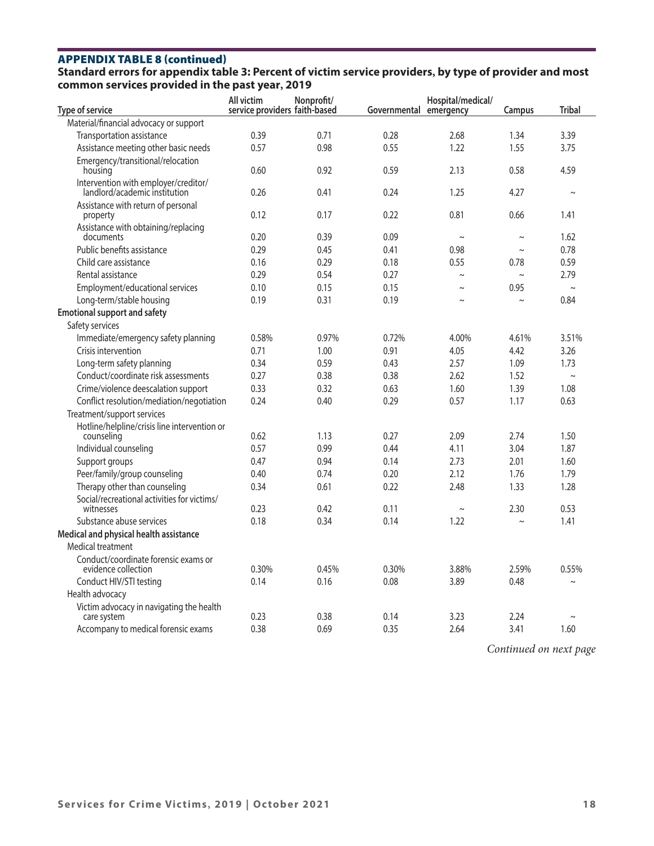# **APPENDIX TABLE 8 (continued)**

# **Standard errors for appendix table 3: Percent of victim service providers, by type of provider and most common services provided in the past year, 2019**

| Type of service                                                       | All victim<br>service providers faith-based | Nonprofit/ | Governmental emergency | Hospital/medical/ | Campus | <b>Tribal</b> |
|-----------------------------------------------------------------------|---------------------------------------------|------------|------------------------|-------------------|--------|---------------|
| Material/financial advocacy or support                                |                                             |            |                        |                   |        |               |
| Transportation assistance                                             | 0.39                                        | 0.71       | 0.28                   | 2.68              | 1.34   | 3.39          |
| Assistance meeting other basic needs                                  | 0.57                                        | 0.98       | 0.55                   | 1.22              | 1.55   | 3.75          |
| Emergency/transitional/relocation<br>housing                          | 0.60                                        | 0.92       | 0.59                   | 2.13              | 0.58   | 4.59          |
| Intervention with employer/creditor/<br>landlord/academic institution | 0.26                                        | 0.41       | 0.24                   | 1.25              | 4.27   | $\sim$        |
| Assistance with return of personal<br>property                        | 0.12                                        | 0.17       | 0.22                   | 0.81              | 0.66   | 1.41          |
| Assistance with obtaining/replacing<br>documents                      | 0.20                                        | 0.39       | 0.09                   | $\sim$            | $\sim$ | 1.62          |
| Public benefits assistance                                            | 0.29                                        | 0.45       | 0.41                   | 0.98              | $\sim$ | 0.78          |
| Child care assistance                                                 | 0.16                                        | 0.29       | 0.18                   | 0.55              | 0.78   | 0.59          |
| Rental assistance                                                     | 0.29                                        | 0.54       | 0.27                   | $\sim$            | $\sim$ | 2.79          |
| Employment/educational services                                       | 0.10                                        | 0.15       | 0.15                   | $\sim$            | 0.95   | $\sim$        |
| Long-term/stable housing                                              | 0.19                                        | 0.31       | 0.19                   | $\sim$            | $\sim$ | 0.84          |
| <b>Emotional support and safety</b>                                   |                                             |            |                        |                   |        |               |
| Safety services                                                       |                                             |            |                        |                   |        |               |
| Immediate/emergency safety planning                                   | 0.58%                                       | 0.97%      | 0.72%                  | 4.00%             | 4.61%  | 3.51%         |
| Crisis intervention                                                   | 0.71                                        | 1.00       | 0.91                   | 4.05              | 4.42   | 3.26          |
| Long-term safety planning                                             | 0.34                                        | 0.59       | 0.43                   | 2.57              | 1.09   | 1.73          |
| Conduct/coordinate risk assessments                                   | 0.27                                        | 0.38       | 0.38                   | 2.62              | 1.52   | $\sim$        |
| Crime/violence deescalation support                                   | 0.33                                        | 0.32       | 0.63                   | 1.60              | 1.39   | 1.08          |
| Conflict resolution/mediation/negotiation                             | 0.24                                        | 0.40       | 0.29                   | 0.57              | 1.17   | 0.63          |
| Treatment/support services                                            |                                             |            |                        |                   |        |               |
| Hotline/helpline/crisis line intervention or<br>counseling            | 0.62                                        | 1.13       | 0.27                   | 2.09              | 2.74   | 1.50          |
| Individual counseling                                                 | 0.57                                        | 0.99       | 0.44                   | 4.11              | 3.04   | 1.87          |
| Support groups                                                        | 0.47                                        | 0.94       | 0.14                   | 2.73              | 2.01   | 1.60          |
| Peer/family/group counseling                                          | 0.40                                        | 0.74       | 0.20                   | 2.12              | 1.76   | 1.79          |
| Therapy other than counseling                                         | 0.34                                        | 0.61       | 0.22                   | 2.48              | 1.33   | 1.28          |
| Social/recreational activities for victims/<br>witnesses              | 0.23                                        | 0.42       | 0.11                   | $\sim$            | 2.30   | 0.53          |
| Substance abuse services                                              | 0.18                                        | 0.34       | 0.14                   | 1.22              | $\sim$ | 1.41          |
| Medical and physical health assistance                                |                                             |            |                        |                   |        |               |
| Medical treatment                                                     |                                             |            |                        |                   |        |               |
| Conduct/coordinate forensic exams or<br>evidence collection           | 0.30%                                       | 0.45%      | 0.30%                  | 3.88%             | 2.59%  | 0.55%         |
| Conduct HIV/STI testing                                               | 0.14                                        | 0.16       | 0.08                   | 3.89              | 0.48   | $\sim$        |
| Health advocacy                                                       |                                             |            |                        |                   |        |               |
| Victim advocacy in navigating the health<br>care system               | 0.23                                        | 0.38       | 0.14                   | 3.23              | 2.24   | $\sim$        |
| Accompany to medical forensic exams                                   | 0.38                                        | 0.69       | 0.35                   | 2.64              | 3.41   | 1.60          |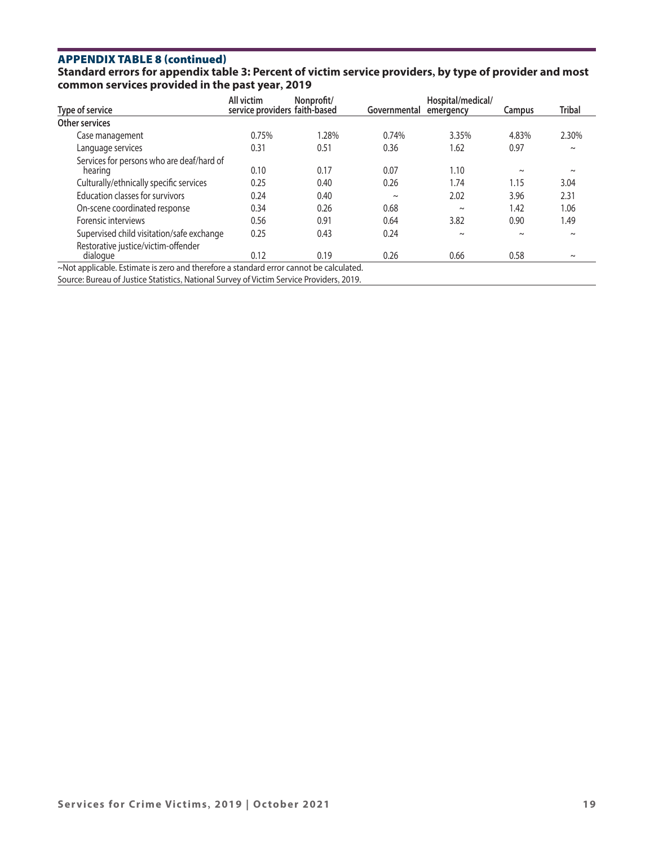# **APPENDIX TABLE 8 (continued)**

# **Standard errors for appendix table 3: Percent of victim service providers, by type of provider and most common services provided in the past year, 2019**

| Type of service                                                                        | All victim<br>service providers faith-based | Nonprofit/ | Governmental | Hospital/medical/<br>emergency | Campus | <b>Tribal</b> |
|----------------------------------------------------------------------------------------|---------------------------------------------|------------|--------------|--------------------------------|--------|---------------|
| Other services                                                                         |                                             |            |              |                                |        |               |
| Case management                                                                        | 0.75%                                       | 1.28%      | 0.74%        | 3.35%                          | 4.83%  | 2.30%         |
| Language services                                                                      | 0.31                                        | 0.51       | 0.36         | 1.62                           | 0.97   | $\sim$        |
| Services for persons who are deaf/hard of<br>hearing                                   | 0.10                                        | 0.17       | 0.07         | 1.10                           | $\sim$ | $\sim$        |
| Culturally/ethnically specific services                                                | 0.25                                        | 0.40       | 0.26         | 1.74                           | 1.15   | 3.04          |
| <b>Education classes for survivors</b>                                                 | 0.24                                        | 0.40       | $\sim$       | 2.02                           | 3.96   | 2.31          |
| On-scene coordinated response                                                          | 0.34                                        | 0.26       | 0.68         | $\sim$                         | 1.42   | 1.06          |
| Forensic interviews                                                                    | 0.56                                        | 0.91       | 0.64         | 3.82                           | 0.90   | 1.49          |
| Supervised child visitation/safe exchange                                              | 0.25                                        | 0.43       | 0.24         | $\sim$                         | $\sim$ | $\sim$        |
| Restorative justice/victim-offender<br>dialogue                                        | 0.12                                        | 0.19       | 0.26         | 0.66                           | 0.58   | $\sim$        |
| ~Not applicable. Estimate is zero and therefore a standard error cannot be calculated. |                                             |            |              |                                |        |               |